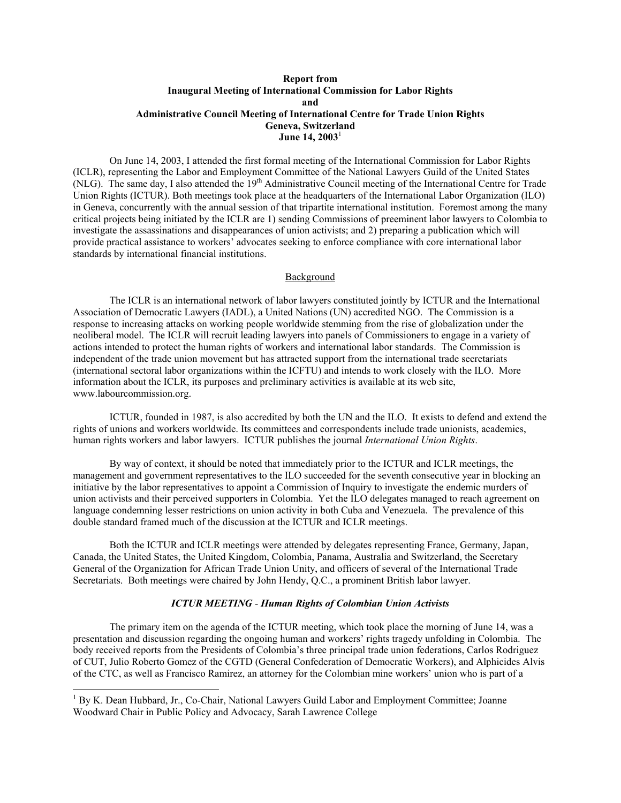# **Report from Inaugural Meeting of International Commission for Labor Rights and Administrative Council Meeting of International Centre for Trade Union Rights Geneva, Switzerland June 14, 2003**<sup>1</sup>

 On June 14, 2003, I attended the first formal meeting of the International Commission for Labor Rights (ICLR), representing the Labor and Employment Committee of the National Lawyers Guild of the United States (NLG). The same day, I also attended the 19<sup>th</sup> Administrative Council meeting of the International Centre for Trade Union Rights (ICTUR). Both meetings took place at the headquarters of the International Labor Organization (ILO) in Geneva, concurrently with the annual session of that tripartite international institution. Foremost among the many critical projects being initiated by the ICLR are 1) sending Commissions of preeminent labor lawyers to Colombia to investigate the assassinations and disappearances of union activists; and 2) preparing a publication which will provide practical assistance to workers' advocates seeking to enforce compliance with core international labor standards by international financial institutions.

#### Background

 The ICLR is an international network of labor lawyers constituted jointly by ICTUR and the International Association of Democratic Lawyers (IADL), a United Nations (UN) accredited NGO. The Commission is a response to increasing attacks on working people worldwide stemming from the rise of globalization under the neoliberal model. The ICLR will recruit leading lawyers into panels of Commissioners to engage in a variety of actions intended to protect the human rights of workers and international labor standards. The Commission is independent of the trade union movement but has attracted support from the international trade secretariats (international sectoral labor organizations within the ICFTU) and intends to work closely with the ILO. More information about the ICLR, its purposes and preliminary activities is available at its web site, www.labourcommission.org.

 ICTUR, founded in 1987, is also accredited by both the UN and the ILO. It exists to defend and extend the rights of unions and workers worldwide. Its committees and correspondents include trade unionists, academics, human rights workers and labor lawyers. ICTUR publishes the journal *International Union Rights*.

 By way of context, it should be noted that immediately prior to the ICTUR and ICLR meetings, the management and government representatives to the ILO succeeded for the seventh consecutive year in blocking an initiative by the labor representatives to appoint a Commission of Inquiry to investigate the endemic murders of union activists and their perceived supporters in Colombia. Yet the ILO delegates managed to reach agreement on language condemning lesser restrictions on union activity in both Cuba and Venezuela. The prevalence of this double standard framed much of the discussion at the ICTUR and ICLR meetings.

 Both the ICTUR and ICLR meetings were attended by delegates representing France, Germany, Japan, Canada, the United States, the United Kingdom, Colombia, Panama, Australia and Switzerland, the Secretary General of the Organization for African Trade Union Unity, and officers of several of the International Trade Secretariats. Both meetings were chaired by John Hendy, Q.C., a prominent British labor lawyer.

### *ICTUR MEETING* - *Human Rights of Colombian Union Activists*

 The primary item on the agenda of the ICTUR meeting, which took place the morning of June 14, was a presentation and discussion regarding the ongoing human and workers' rights tragedy unfolding in Colombia. The body received reports from the Presidents of Colombia's three principal trade union federations, Carlos Rodriguez of CUT, Julio Roberto Gomez of the CGTD (General Confederation of Democratic Workers), and Alphicides Alvis of the CTC, as well as Francisco Ramirez, an attorney for the Colombian mine workers' union who is part of a

-

<sup>&</sup>lt;sup>1</sup> By K. Dean Hubbard, Jr., Co-Chair, National Lawyers Guild Labor and Employment Committee; Joanne Woodward Chair in Public Policy and Advocacy, Sarah Lawrence College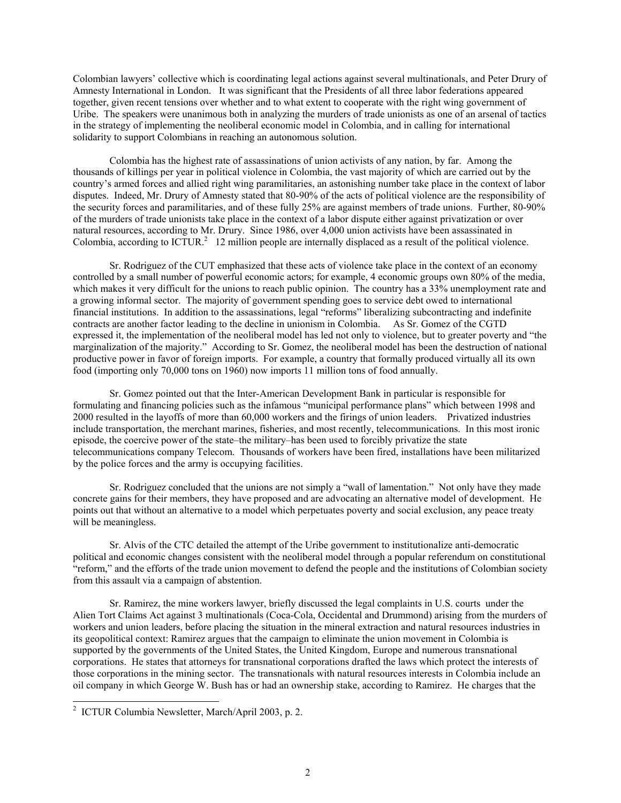Colombian lawyers' collective which is coordinating legal actions against several multinationals, and Peter Drury of Amnesty International in London. It was significant that the Presidents of all three labor federations appeared together, given recent tensions over whether and to what extent to cooperate with the right wing government of Uribe. The speakers were unanimous both in analyzing the murders of trade unionists as one of an arsenal of tactics in the strategy of implementing the neoliberal economic model in Colombia, and in calling for international solidarity to support Colombians in reaching an autonomous solution.

 Colombia has the highest rate of assassinations of union activists of any nation, by far. Among the thousands of killings per year in political violence in Colombia, the vast majority of which are carried out by the country's armed forces and allied right wing paramilitaries, an astonishing number take place in the context of labor disputes. Indeed, Mr. Drury of Amnesty stated that 80-90% of the acts of political violence are the responsibility of the security forces and paramilitaries, and of these fully 25% are against members of trade unions. Further, 80-90% of the murders of trade unionists take place in the context of a labor dispute either against privatization or over natural resources, according to Mr. Drury. Since 1986, over 4,000 union activists have been assassinated in Colombia, according to  $ICTUR<sup>2</sup>$  12 million people are internally displaced as a result of the political violence.

 Sr. Rodriguez of the CUT emphasized that these acts of violence take place in the context of an economy controlled by a small number of powerful economic actors; for example, 4 economic groups own 80% of the media, which makes it very difficult for the unions to reach public opinion. The country has a 33% unemployment rate and a growing informal sector. The majority of government spending goes to service debt owed to international financial institutions. In addition to the assassinations, legal "reforms" liberalizing subcontracting and indefinite contracts are another factor leading to the decline in unionism in Colombia. As Sr. Gomez of the CGTD expressed it, the implementation of the neoliberal model has led not only to violence, but to greater poverty and "the marginalization of the majority." According to Sr. Gomez, the neoliberal model has been the destruction of national productive power in favor of foreign imports. For example, a country that formally produced virtually all its own food (importing only 70,000 tons on 1960) now imports 11 million tons of food annually.

 Sr. Gomez pointed out that the Inter-American Development Bank in particular is responsible for formulating and financing policies such as the infamous "municipal performance plans" which between 1998 and 2000 resulted in the layoffs of more than 60,000 workers and the firings of union leaders. Privatized industries include transportation, the merchant marines, fisheries, and most recently, telecommunications. In this most ironic episode, the coercive power of the state–the military–has been used to forcibly privatize the state telecommunications company Telecom. Thousands of workers have been fired, installations have been militarized by the police forces and the army is occupying facilities.

 Sr. Rodriguez concluded that the unions are not simply a "wall of lamentation." Not only have they made concrete gains for their members, they have proposed and are advocating an alternative model of development. He points out that without an alternative to a model which perpetuates poverty and social exclusion, any peace treaty will be meaningless.

 Sr. Alvis of the CTC detailed the attempt of the Uribe government to institutionalize anti-democratic political and economic changes consistent with the neoliberal model through a popular referendum on constitutional "reform," and the efforts of the trade union movement to defend the people and the institutions of Colombian society from this assault via a campaign of abstention.

 Sr. Ramirez, the mine workers lawyer, briefly discussed the legal complaints in U.S. courts under the Alien Tort Claims Act against 3 multinationals (Coca-Cola, Occidental and Drummond) arising from the murders of workers and union leaders, before placing the situation in the mineral extraction and natural resources industries in its geopolitical context: Ramirez argues that the campaign to eliminate the union movement in Colombia is supported by the governments of the United States, the United Kingdom, Europe and numerous transnational corporations. He states that attorneys for transnational corporations drafted the laws which protect the interests of those corporations in the mining sector. The transnationals with natural resources interests in Colombia include an oil company in which George W. Bush has or had an ownership stake, according to Ramirez. He charges that the

-

<sup>2</sup> ICTUR Columbia Newsletter, March/April 2003, p. 2.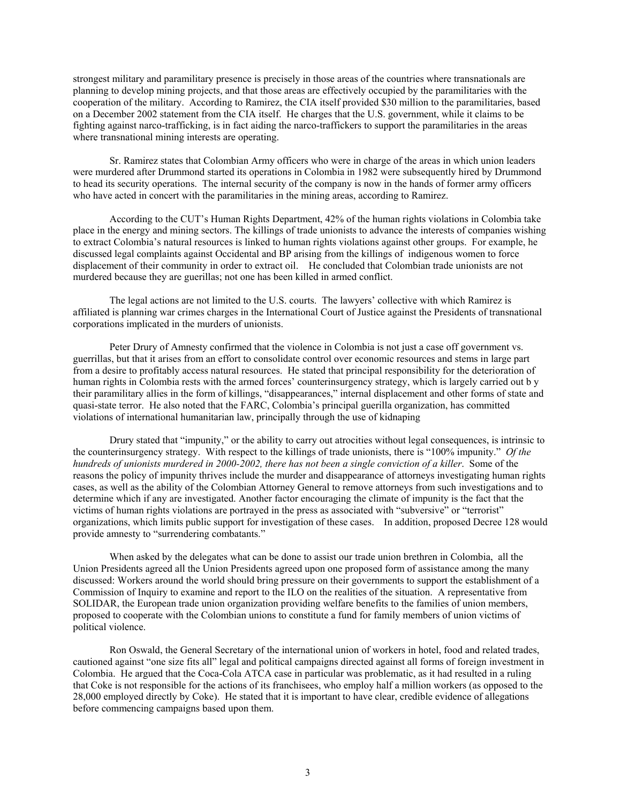strongest military and paramilitary presence is precisely in those areas of the countries where transnationals are planning to develop mining projects, and that those areas are effectively occupied by the paramilitaries with the cooperation of the military. According to Ramirez, the CIA itself provided \$30 million to the paramilitaries, based on a December 2002 statement from the CIA itself. He charges that the U.S. government, while it claims to be fighting against narco-trafficking, is in fact aiding the narco-traffickers to support the paramilitaries in the areas where transnational mining interests are operating.

 Sr. Ramirez states that Colombian Army officers who were in charge of the areas in which union leaders were murdered after Drummond started its operations in Colombia in 1982 were subsequently hired by Drummond to head its security operations. The internal security of the company is now in the hands of former army officers who have acted in concert with the paramilitaries in the mining areas, according to Ramirez.

 According to the CUT's Human Rights Department, 42% of the human rights violations in Colombia take place in the energy and mining sectors. The killings of trade unionists to advance the interests of companies wishing to extract Colombia's natural resources is linked to human rights violations against other groups. For example, he discussed legal complaints against Occidental and BP arising from the killings of indigenous women to force displacement of their community in order to extract oil. He concluded that Colombian trade unionists are not murdered because they are guerillas; not one has been killed in armed conflict.

 The legal actions are not limited to the U.S. courts. The lawyers' collective with which Ramirez is affiliated is planning war crimes charges in the International Court of Justice against the Presidents of transnational corporations implicated in the murders of unionists.

 Peter Drury of Amnesty confirmed that the violence in Colombia is not just a case off government vs. guerrillas, but that it arises from an effort to consolidate control over economic resources and stems in large part from a desire to profitably access natural resources. He stated that principal responsibility for the deterioration of human rights in Colombia rests with the armed forces' counterinsurgency strategy, which is largely carried out b y their paramilitary allies in the form of killings, "disappearances," internal displacement and other forms of state and quasi-state terror. He also noted that the FARC, Colombia's principal guerilla organization, has committed violations of international humanitarian law, principally through the use of kidnaping

 Drury stated that "impunity," or the ability to carry out atrocities without legal consequences, is intrinsic to the counterinsurgency strategy. With respect to the killings of trade unionists, there is "100% impunity." *Of the hundreds of unionists murdered in 2000-2002, there has not been a single conviction of a killer*. Some of the reasons the policy of impunity thrives include the murder and disappearance of attorneys investigating human rights cases, as well as the ability of the Colombian Attorney General to remove attorneys from such investigations and to determine which if any are investigated. Another factor encouraging the climate of impunity is the fact that the victims of human rights violations are portrayed in the press as associated with "subversive" or "terrorist" organizations, which limits public support for investigation of these cases. In addition, proposed Decree 128 would provide amnesty to "surrendering combatants."

 When asked by the delegates what can be done to assist our trade union brethren in Colombia, all the Union Presidents agreed all the Union Presidents agreed upon one proposed form of assistance among the many discussed: Workers around the world should bring pressure on their governments to support the establishment of a Commission of Inquiry to examine and report to the ILO on the realities of the situation. A representative from SOLIDAR, the European trade union organization providing welfare benefits to the families of union members, proposed to cooperate with the Colombian unions to constitute a fund for family members of union victims of political violence.

 Ron Oswald, the General Secretary of the international union of workers in hotel, food and related trades, cautioned against "one size fits all" legal and political campaigns directed against all forms of foreign investment in Colombia. He argued that the Coca-Cola ATCA case in particular was problematic, as it had resulted in a ruling that Coke is not responsible for the actions of its franchisees, who employ half a million workers (as opposed to the 28,000 employed directly by Coke). He stated that it is important to have clear, credible evidence of allegations before commencing campaigns based upon them.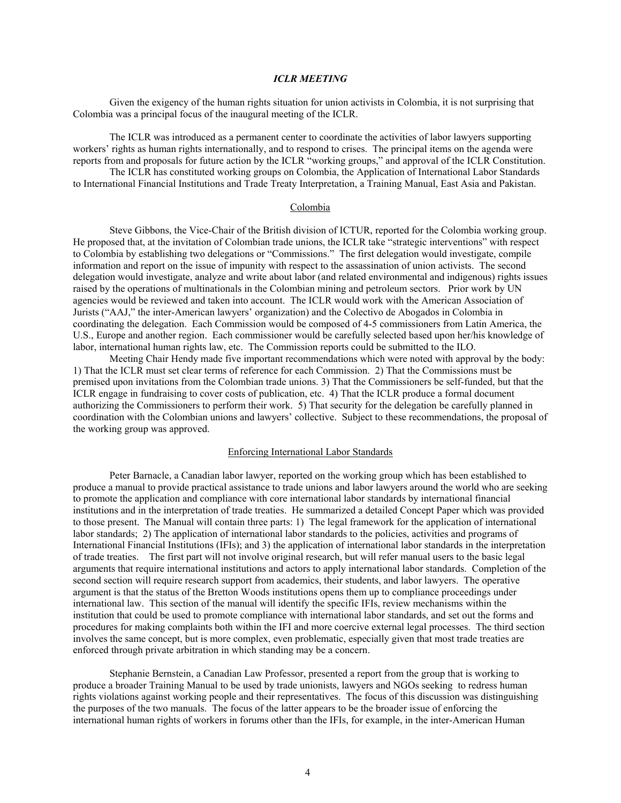### *ICLR MEETING*

 Given the exigency of the human rights situation for union activists in Colombia, it is not surprising that Colombia was a principal focus of the inaugural meeting of the ICLR.

 The ICLR was introduced as a permanent center to coordinate the activities of labor lawyers supporting workers' rights as human rights internationally, and to respond to crises. The principal items on the agenda were reports from and proposals for future action by the ICLR "working groups," and approval of the ICLR Constitution.

 The ICLR has constituted working groups on Colombia, the Application of International Labor Standards to International Financial Institutions and Trade Treaty Interpretation, a Training Manual, East Asia and Pakistan.

### Colombia

 Steve Gibbons, the Vice-Chair of the British division of ICTUR, reported for the Colombia working group. He proposed that, at the invitation of Colombian trade unions, the ICLR take "strategic interventions" with respect to Colombia by establishing two delegations or "Commissions." The first delegation would investigate, compile information and report on the issue of impunity with respect to the assassination of union activists. The second delegation would investigate, analyze and write about labor (and related environmental and indigenous) rights issues raised by the operations of multinationals in the Colombian mining and petroleum sectors. Prior work by UN agencies would be reviewed and taken into account. The ICLR would work with the American Association of Jurists ("AAJ," the inter-American lawyers' organization) and the Colectivo de Abogados in Colombia in coordinating the delegation. Each Commission would be composed of 4-5 commissioners from Latin America, the U.S., Europe and another region. Each commissioner would be carefully selected based upon her/his knowledge of labor, international human rights law, etc. The Commission reports could be submitted to the ILO.

 Meeting Chair Hendy made five important recommendations which were noted with approval by the body: 1) That the ICLR must set clear terms of reference for each Commission. 2) That the Commissions must be premised upon invitations from the Colombian trade unions. 3) That the Commissioners be self-funded, but that the ICLR engage in fundraising to cover costs of publication, etc. 4) That the ICLR produce a formal document authorizing the Commissioners to perform their work. 5) That security for the delegation be carefully planned in coordination with the Colombian unions and lawyers' collective. Subject to these recommendations, the proposal of the working group was approved.

### Enforcing International Labor Standards

 Peter Barnacle, a Canadian labor lawyer, reported on the working group which has been established to produce a manual to provide practical assistance to trade unions and labor lawyers around the world who are seeking to promote the application and compliance with core international labor standards by international financial institutions and in the interpretation of trade treaties. He summarized a detailed Concept Paper which was provided to those present. The Manual will contain three parts: 1) The legal framework for the application of international labor standards; 2) The application of international labor standards to the policies, activities and programs of International Financial Institutions (IFIs); and 3) the application of international labor standards in the interpretation of trade treaties. The first part will not involve original research, but will refer manual users to the basic legal arguments that require international institutions and actors to apply international labor standards. Completion of the second section will require research support from academics, their students, and labor lawyers. The operative argument is that the status of the Bretton Woods institutions opens them up to compliance proceedings under international law. This section of the manual will identify the specific IFIs, review mechanisms within the institution that could be used to promote compliance with international labor standards, and set out the forms and procedures for making complaints both within the IFI and more coercive external legal processes. The third section involves the same concept, but is more complex, even problematic, especially given that most trade treaties are enforced through private arbitration in which standing may be a concern.

 Stephanie Bernstein, a Canadian Law Professor, presented a report from the group that is working to produce a broader Training Manual to be used by trade unionists, lawyers and NGOs seeking to redress human rights violations against working people and their representatives. The focus of this discussion was distinguishing the purposes of the two manuals. The focus of the latter appears to be the broader issue of enforcing the international human rights of workers in forums other than the IFIs, for example, in the inter-American Human